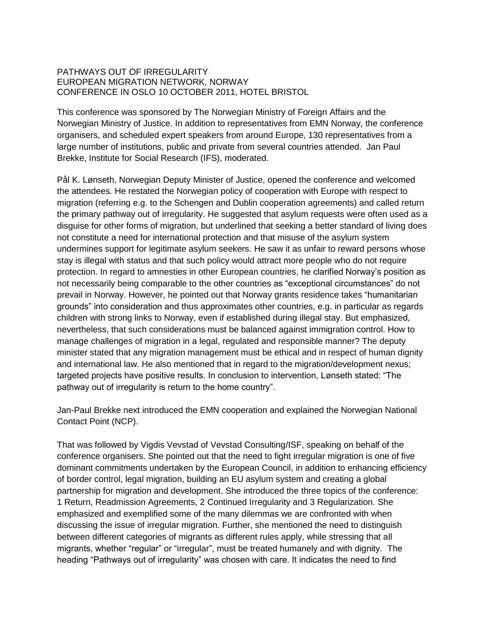## PATHWAYS OUT OF IRREGULARITY EUROPEAN MIGRATION NETWORK, NORWAY CONFERENCE IN OSLO 10 OCTOBER 2011, HOTEL BRISTOL

This conference was sponsored by The Norwegian Ministry of Foreign Affairs and the Norwegian Ministry of Justice. In addition to representatives from EMN Norway, the conference organisers, and scheduled expert speakers from around Europe, 130 representatives from a large number of institutions, public and private from several countries attended. Jan Paul Brekke, Institute for Social Research (IFS), moderated.

Pål K. Lønseth, Norwegian Deputy Minister of Justice, opened the conference and welcomed the attendees. He restated the Norwegian policy of cooperation with Europe with respect to migration (referring e.g. to the Schengen and Dublin cooperation agreements) and called return the primary pathway out of irregularity. He suggested that asylum requests were often used as a disguise for other forms of migration, but underlined that seeking a better standard of living does not constitute a need for international protection and that misuse of the asylum system undermines support for legitimate asylum seekers. He saw it as unfair to reward persons whose stay is illegal with status and that such policy would attract more people who do not require protection. In regard to amnesties in other European countries, he clarified Norway's position as not necessarily being comparable to the other countries as "exceptional circumstances" do not prevail in Norway. However, he pointed out that Norway grants residence takes "humanitarian grounds" into consideration and thus approximates other countries, e.g. in particular as regards children with strong links to Norway, even if established during illegal stay. But emphasized, nevertheless, that such considerations must be balanced against immigration control. How to manage challenges of migration in a legal, regulated and responsible manner? The deputy minister stated that any migration management must be ethical and in respect of human dignity and international law. He also mentioned that in regard to the migration/development nexus; targeted projects have positive results. In conclusion to intervention, Lønseth stated: "The pathway out of irregularity is return to the home country".

Jan-Paul Brekke next introduced the EMN cooperation and explained the Norwegian National Contact Point (NCP).

That was followed by Vigdis Vevstad of Vevstad Consulting/ISF, speaking on behalf of the conference organisers. She pointed out that the need to fight irregular migration is one of five dominant commitments undertaken by the European Council, in addition to enhancing efficiency of border control, legal migration, building an EU asylum system and creating a global partnership for migration and development. She introduced the three topics of the conference: 1 Return, Readmission Agreements, 2 Continued Irregularity and 3 Regularization. She emphasized and exemplified some of the many dilemmas we are confronted with when discussing the issue of irregular migration. Further, she mentioned the need to distinguish between different categories of migrants as different rules apply, while stressing that all migrants, whether "regular" or "irregular", must be treated humanely and with dignity. The heading "Pathways out of irregularity" was chosen with care. It indicates the need to find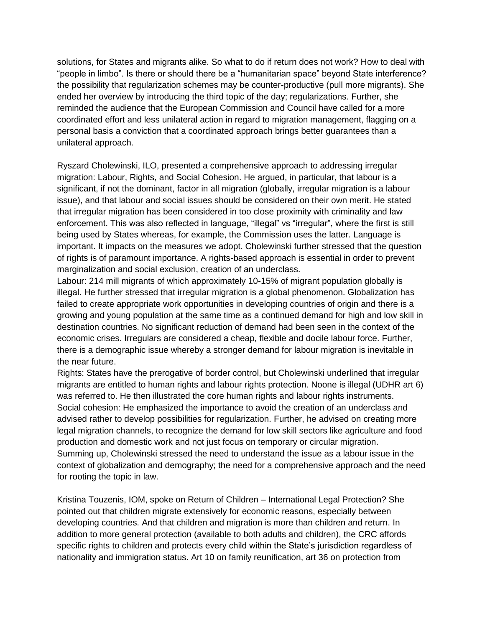solutions, for States and migrants alike. So what to do if return does not work? How to deal with "people in limbo". Is there or should there be a "humanitarian space" beyond State interference? the possibility that regularization schemes may be counter-productive (pull more migrants). She ended her overview by introducing the third topic of the day; regularizations. Further, she reminded the audience that the European Commission and Council have called for a more coordinated effort and less unilateral action in regard to migration management, flagging on a personal basis a conviction that a coordinated approach brings better guarantees than a unilateral approach.

Ryszard Cholewinski, ILO, presented a comprehensive approach to addressing irregular migration: Labour, Rights, and Social Cohesion. He argued, in particular, that labour is a significant, if not the dominant, factor in all migration (globally, irregular migration is a labour issue), and that labour and social issues should be considered on their own merit. He stated that irregular migration has been considered in too close proximity with criminality and law enforcement. This was also reflected in language, "illegal" vs "irregular", where the first is still being used by States whereas, for example, the Commission uses the latter. Language is important. It impacts on the measures we adopt. Cholewinski further stressed that the question of rights is of paramount importance. A rights-based approach is essential in order to prevent marginalization and social exclusion, creation of an underclass.

Labour: 214 mill migrants of which approximately 10-15% of migrant population globally is illegal. He further stressed that irregular migration is a global phenomenon. Globalization has failed to create appropriate work opportunities in developing countries of origin and there is a growing and young population at the same time as a continued demand for high and low skill in destination countries. No significant reduction of demand had been seen in the context of the economic crises. Irregulars are considered a cheap, flexible and docile labour force. Further, there is a demographic issue whereby a stronger demand for labour migration is inevitable in the near future.

Rights: States have the prerogative of border control, but Cholewinski underlined that irregular migrants are entitled to human rights and labour rights protection. Noone is illegal (UDHR art 6) was referred to. He then illustrated the core human rights and labour rights instruments. Social cohesion: He emphasized the importance to avoid the creation of an underclass and advised rather to develop possibilities for regularization. Further, he advised on creating more legal migration channels, to recognize the demand for low skill sectors like agriculture and food production and domestic work and not just focus on temporary or circular migration. Summing up, Cholewinski stressed the need to understand the issue as a labour issue in the context of globalization and demography; the need for a comprehensive approach and the need for rooting the topic in law.

Kristina Touzenis, IOM, spoke on Return of Children – International Legal Protection? She pointed out that children migrate extensively for economic reasons, especially between developing countries. And that children and migration is more than children and return. In addition to more general protection (available to both adults and children), the CRC affords specific rights to children and protects every child within the State's jurisdiction regardless of nationality and immigration status. Art 10 on family reunification, art 36 on protection from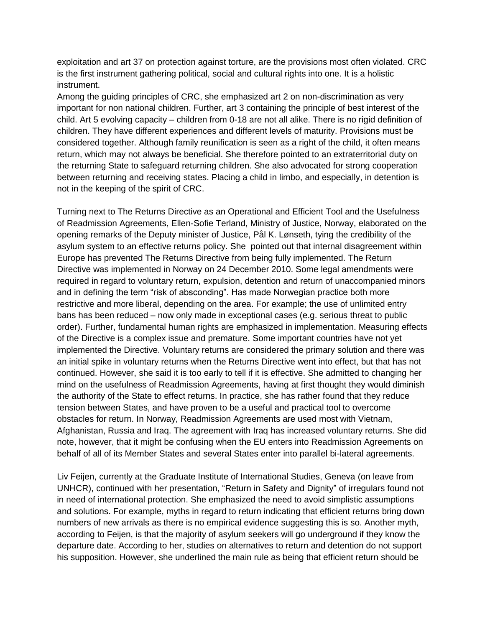exploitation and art 37 on protection against torture, are the provisions most often violated. CRC is the first instrument gathering political, social and cultural rights into one. It is a holistic instrument.

Among the guiding principles of CRC, she emphasized art 2 on non-discrimination as very important for non national children. Further, art 3 containing the principle of best interest of the child. Art 5 evolving capacity – children from 0-18 are not all alike. There is no rigid definition of children. They have different experiences and different levels of maturity. Provisions must be considered together. Although family reunification is seen as a right of the child, it often means return, which may not always be beneficial. She therefore pointed to an extraterritorial duty on the returning State to safeguard returning children. She also advocated for strong cooperation between returning and receiving states. Placing a child in limbo, and especially, in detention is not in the keeping of the spirit of CRC.

Turning next to The Returns Directive as an Operational and Efficient Tool and the Usefulness of Readmission Agreements, Ellen-Sofie Terland, Ministry of Justice, Norway, elaborated on the opening remarks of the Deputy minister of Justice, Pål K. Lønseth, tying the credibility of the asylum system to an effective returns policy. She pointed out that internal disagreement within Europe has prevented The Returns Directive from being fully implemented. The Return Directive was implemented in Norway on 24 December 2010. Some legal amendments were required in regard to voluntary return, expulsion, detention and return of unaccompanied minors and in defining the term "risk of absconding". Has made Norwegian practice both more restrictive and more liberal, depending on the area. For example; the use of unlimited entry bans has been reduced – now only made in exceptional cases (e.g. serious threat to public order). Further, fundamental human rights are emphasized in implementation. Measuring effects of the Directive is a complex issue and premature. Some important countries have not yet implemented the Directive. Voluntary returns are considered the primary solution and there was an initial spike in voluntary returns when the Returns Directive went into effect, but that has not continued. However, she said it is too early to tell if it is effective. She admitted to changing her mind on the usefulness of Readmission Agreements, having at first thought they would diminish the authority of the State to effect returns. In practice, she has rather found that they reduce tension between States, and have proven to be a useful and practical tool to overcome obstacles for return. In Norway, Readmission Agreements are used most with Vietnam, Afghanistan, Russia and Iraq. The agreement with Iraq has increased voluntary returns. She did note, however, that it might be confusing when the EU enters into Readmission Agreements on behalf of all of its Member States and several States enter into parallel bi-lateral agreements.

Liv Feijen, currently at the Graduate Institute of International Studies, Geneva (on leave from UNHCR), continued with her presentation, "Return in Safety and Dignity" of irregulars found not in need of international protection. She emphasized the need to avoid simplistic assumptions and solutions. For example, myths in regard to return indicating that efficient returns bring down numbers of new arrivals as there is no empirical evidence suggesting this is so. Another myth, according to Feijen, is that the majority of asylum seekers will go underground if they know the departure date. According to her, studies on alternatives to return and detention do not support his supposition. However, she underlined the main rule as being that efficient return should be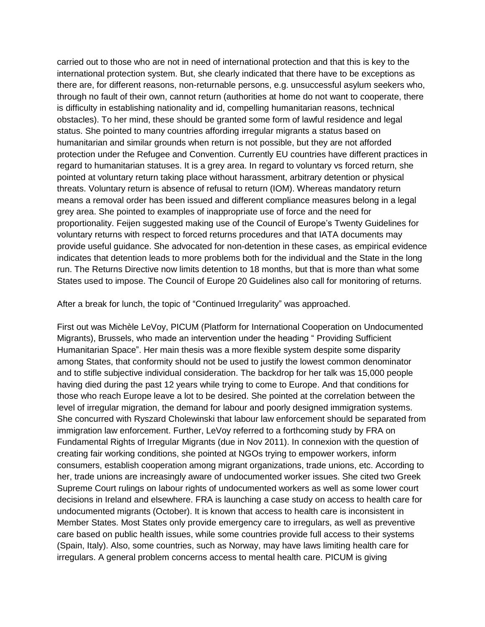carried out to those who are not in need of international protection and that this is key to the international protection system. But, she clearly indicated that there have to be exceptions as there are, for different reasons, non-returnable persons, e.g. unsuccessful asylum seekers who, through no fault of their own, cannot return (authorities at home do not want to cooperate, there is difficulty in establishing nationality and id, compelling humanitarian reasons, technical obstacles). To her mind, these should be granted some form of lawful residence and legal status. She pointed to many countries affording irregular migrants a status based on humanitarian and similar grounds when return is not possible, but they are not afforded protection under the Refugee and Convention. Currently EU countries have different practices in regard to humanitarian statuses. It is a grey area. In regard to voluntary vs forced return, she pointed at voluntary return taking place without harassment, arbitrary detention or physical threats. Voluntary return is absence of refusal to return (IOM). Whereas mandatory return means a removal order has been issued and different compliance measures belong in a legal grey area. She pointed to examples of inappropriate use of force and the need for proportionality. Feijen suggested making use of the Council of Europe's Twenty Guidelines for voluntary returns with respect to forced returns procedures and that IATA documents may provide useful guidance. She advocated for non-detention in these cases, as empirical evidence indicates that detention leads to more problems both for the individual and the State in the long run. The Returns Directive now limits detention to 18 months, but that is more than what some States used to impose. The Council of Europe 20 Guidelines also call for monitoring of returns.

After a break for lunch, the topic of "Continued Irregularity" was approached.

First out was Michèle LeVoy, PICUM (Platform for International Cooperation on Undocumented Migrants), Brussels, who made an intervention under the heading " Providing Sufficient Humanitarian Space". Her main thesis was a more flexible system despite some disparity among States, that conformity should not be used to justify the lowest common denominator and to stifle subjective individual consideration. The backdrop for her talk was 15,000 people having died during the past 12 years while trying to come to Europe. And that conditions for those who reach Europe leave a lot to be desired. She pointed at the correlation between the level of irregular migration, the demand for labour and poorly designed immigration systems. She concurred with Ryszard Cholewinski that labour law enforcement should be separated from immigration law enforcement. Further, LeVoy referred to a forthcoming study by FRA on Fundamental Rights of Irregular Migrants (due in Nov 2011). In connexion with the question of creating fair working conditions, she pointed at NGOs trying to empower workers, inform consumers, establish cooperation among migrant organizations, trade unions, etc. According to her, trade unions are increasingly aware of undocumented worker issues. She cited two Greek Supreme Court rulings on labour rights of undocumented workers as well as some lower court decisions in Ireland and elsewhere. FRA is launching a case study on access to health care for undocumented migrants (October). It is known that access to health care is inconsistent in Member States. Most States only provide emergency care to irregulars, as well as preventive care based on public health issues, while some countries provide full access to their systems (Spain, Italy). Also, some countries, such as Norway, may have laws limiting health care for irregulars. A general problem concerns access to mental health care. PICUM is giving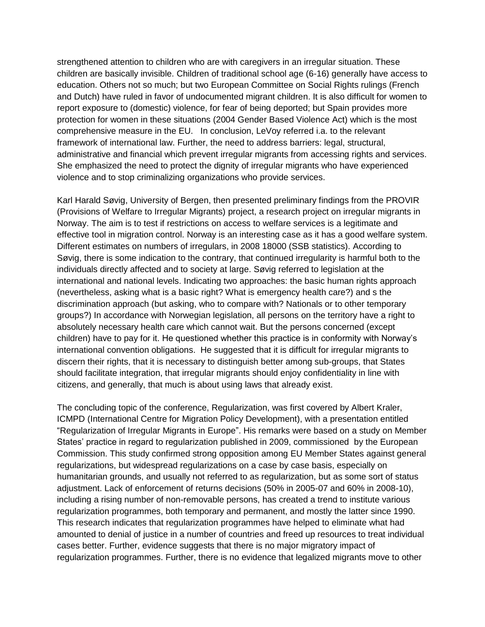strengthened attention to children who are with caregivers in an irregular situation. These children are basically invisible. Children of traditional school age (6-16) generally have access to education. Others not so much; but two European Committee on Social Rights rulings (French and Dutch) have ruled in favor of undocumented migrant children. It is also difficult for women to report exposure to (domestic) violence, for fear of being deported; but Spain provides more protection for women in these situations (2004 Gender Based Violence Act) which is the most comprehensive measure in the EU. In conclusion, LeVoy referred i.a. to the relevant framework of international law. Further, the need to address barriers: legal, structural, administrative and financial which prevent irregular migrants from accessing rights and services. She emphasized the need to protect the dignity of irregular migrants who have experienced violence and to stop criminalizing organizations who provide services.

Karl Harald Søvig, University of Bergen, then presented preliminary findings from the PROVIR (Provisions of Welfare to Irregular Migrants) project, a research project on irregular migrants in Norway. The aim is to test if restrictions on access to welfare services is a legitimate and effective tool in migration control. Norway is an interesting case as it has a good welfare system. Different estimates on numbers of irregulars, in 2008 18000 (SSB statistics). According to Søvig, there is some indication to the contrary, that continued irregularity is harmful both to the individuals directly affected and to society at large. Søvig referred to legislation at the international and national levels. Indicating two approaches: the basic human rights approach (nevertheless, asking what is a basic right? What is emergency health care?) and s the discrimination approach (but asking, who to compare with? Nationals or to other temporary groups?) In accordance with Norwegian legislation, all persons on the territory have a right to absolutely necessary health care which cannot wait. But the persons concerned (except children) have to pay for it. He questioned whether this practice is in conformity with Norway's international convention obligations. He suggested that it is difficult for irregular migrants to discern their rights, that it is necessary to distinguish better among sub-groups, that States should facilitate integration, that irregular migrants should enjoy confidentiality in line with citizens, and generally, that much is about using laws that already exist.

The concluding topic of the conference, Regularization, was first covered by Albert Kraler, ICMPD (International Centre for Migration Policy Development), with a presentation entitled "Regularization of Irregular Migrants in Europe". His remarks were based on a study on Member States' practice in regard to regularization published in 2009, commissioned by the European Commission. This study confirmed strong opposition among EU Member States against general regularizations, but widespread regularizations on a case by case basis, especially on humanitarian grounds, and usually not referred to as regularization, but as some sort of status adjustment. Lack of enforcement of returns decisions (50% in 2005-07 and 60% in 2008-10), including a rising number of non-removable persons, has created a trend to institute various regularization programmes, both temporary and permanent, and mostly the latter since 1990. This research indicates that regularization programmes have helped to eliminate what had amounted to denial of justice in a number of countries and freed up resources to treat individual cases better. Further, evidence suggests that there is no major migratory impact of regularization programmes. Further, there is no evidence that legalized migrants move to other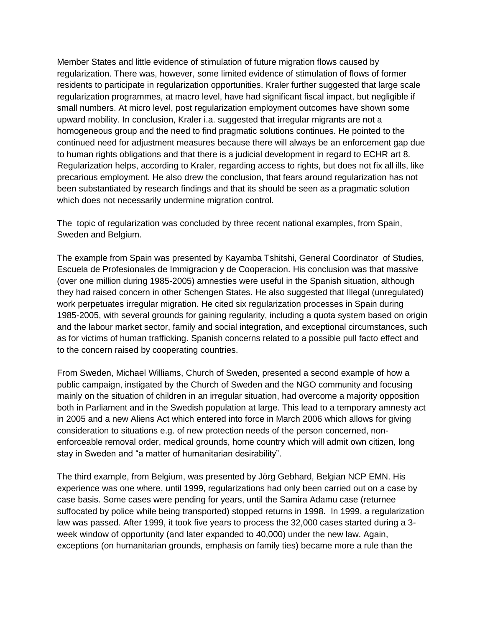Member States and little evidence of stimulation of future migration flows caused by regularization. There was, however, some limited evidence of stimulation of flows of former residents to participate in regularization opportunities. Kraler further suggested that large scale regularization programmes, at macro level, have had significant fiscal impact, but negligible if small numbers. At micro level, post regularization employment outcomes have shown some upward mobility. In conclusion, Kraler i.a. suggested that irregular migrants are not a homogeneous group and the need to find pragmatic solutions continues. He pointed to the continued need for adjustment measures because there will always be an enforcement gap due to human rights obligations and that there is a judicial development in regard to ECHR art 8. Regularization helps, according to Kraler, regarding access to rights, but does not fix all ills, like precarious employment. He also drew the conclusion, that fears around regularization has not been substantiated by research findings and that its should be seen as a pragmatic solution which does not necessarily undermine migration control.

The topic of regularization was concluded by three recent national examples, from Spain, Sweden and Belgium.

The example from Spain was presented by Kayamba Tshitshi, General Coordinator of Studies, Escuela de Profesionales de Immigracion y de Cooperacion. His conclusion was that massive (over one million during 1985-2005) amnesties were useful in the Spanish situation, although they had raised concern in other Schengen States. He also suggested that Illegal (unregulated) work perpetuates irregular migration. He cited six regularization processes in Spain during 1985-2005, with several grounds for gaining regularity, including a quota system based on origin and the labour market sector, family and social integration, and exceptional circumstances, such as for victims of human trafficking. Spanish concerns related to a possible pull facto effect and to the concern raised by cooperating countries.

From Sweden, Michael Williams, Church of Sweden, presented a second example of how a public campaign, instigated by the Church of Sweden and the NGO community and focusing mainly on the situation of children in an irregular situation, had overcome a majority opposition both in Parliament and in the Swedish population at large. This lead to a temporary amnesty act in 2005 and a new Aliens Act which entered into force in March 2006 which allows for giving consideration to situations e.g. of new protection needs of the person concerned, nonenforceable removal order, medical grounds, home country which will admit own citizen, long stay in Sweden and "a matter of humanitarian desirability".

The third example, from Belgium, was presented by Jörg Gebhard, Belgian NCP EMN. His experience was one where, until 1999, regularizations had only been carried out on a case by case basis. Some cases were pending for years, until the Samira Adamu case (returnee suffocated by police while being transported) stopped returns in 1998. In 1999, a regularization law was passed. After 1999, it took five years to process the 32,000 cases started during a 3 week window of opportunity (and later expanded to 40,000) under the new law. Again, exceptions (on humanitarian grounds, emphasis on family ties) became more a rule than the